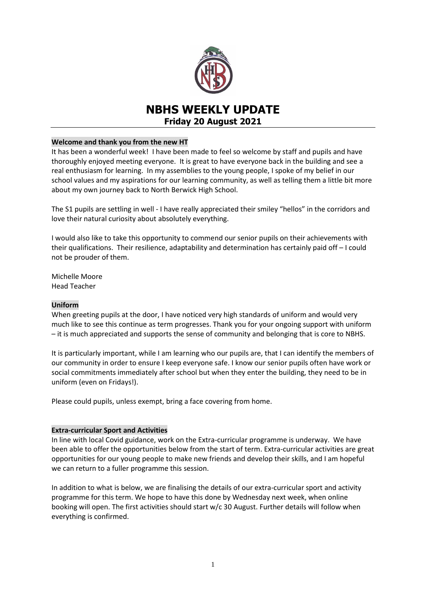

# **NBHS WEEKLY UPDATE Friday 20 August 2021**

# **Welcome and thank you from the new HT**

It has been a wonderful week! I have been made to feel so welcome by staff and pupils and have thoroughly enjoyed meeting everyone. It is great to have everyone back in the building and see a real enthusiasm for learning. In my assemblies to the young people, I spoke of my belief in our school values and my aspirations for our learning community, as well as telling them a little bit more about my own journey back to North Berwick High School.

The S1 pupils are settling in well - I have really appreciated their smiley "hellos" in the corridors and love their natural curiosity about absolutely everything.

I would also like to take this opportunity to commend our senior pupils on their achievements with their qualifications. Their resilience, adaptability and determination has certainly paid off – I could not be prouder of them.

Michelle Moore Head Teacher

# **Uniform**

When greeting pupils at the door, I have noticed very high standards of uniform and would very much like to see this continue as term progresses. Thank you for your ongoing support with uniform – it is much appreciated and supports the sense of community and belonging that is core to NBHS.

It is particularly important, while I am learning who our pupils are, that I can identify the members of our community in order to ensure I keep everyone safe. I know our senior pupils often have work or social commitments immediately after school but when they enter the building, they need to be in uniform (even on Fridays!).

Please could pupils, unless exempt, bring a face covering from home.

# **Extra-curricular Sport and Activities**

In line with local Covid guidance, work on the Extra-curricular programme is underway. We have been able to offer the opportunities below from the start of term. Extra-curricular activities are great opportunities for our young people to make new friends and develop their skills, and I am hopeful we can return to a fuller programme this session.

In addition to what is below, we are finalising the details of our extra-curricular sport and activity programme for this term. We hope to have this done by Wednesday next week, when online booking will open. The first activities should start w/c 30 August. Further details will follow when everything is confirmed.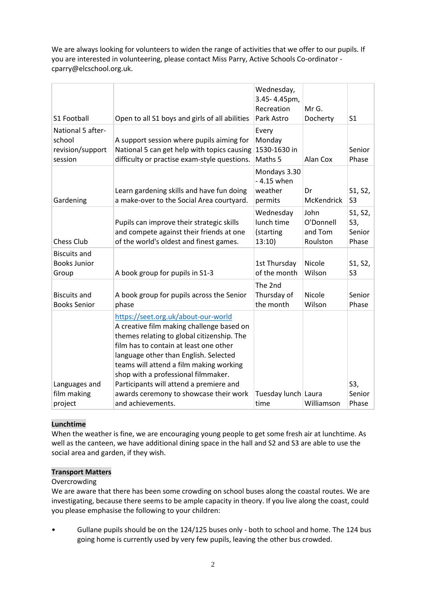We are always looking for volunteers to widen the range of activities that we offer to our pupils. If you are interested in volunteering, please contact Miss Parry, Active Schools Co-ordinator [cparry@elcschool.org.uk.](mailto:cparry@elcschool.org.uk)

| S1 Football                                                | Open to all S1 boys and girls of all abilities                                                                                                                                                                                                                                                                                                                                           | Wednesday,<br>3.45-4.45pm,<br>Recreation<br>Park Astro | Mr G.<br>Docherty                        | S <sub>1</sub>                    |
|------------------------------------------------------------|------------------------------------------------------------------------------------------------------------------------------------------------------------------------------------------------------------------------------------------------------------------------------------------------------------------------------------------------------------------------------------------|--------------------------------------------------------|------------------------------------------|-----------------------------------|
| National 5 after-<br>school<br>revision/support<br>session | A support session where pupils aiming for<br>National 5 can get help with topics causing<br>difficulty or practise exam-style questions.                                                                                                                                                                                                                                                 | Every<br>Monday<br>1530-1630 in<br>Maths 5             | Alan Cox                                 | Senior<br>Phase                   |
| Gardening                                                  | Learn gardening skills and have fun doing<br>a make-over to the Social Area courtyard.                                                                                                                                                                                                                                                                                                   | Mondays 3.30<br>- 4.15 when<br>weather<br>permits      | Dr<br><b>McKendrick</b>                  | S1, S2,<br>S <sub>3</sub>         |
| <b>Chess Club</b>                                          | Pupils can improve their strategic skills<br>and compete against their friends at one<br>of the world's oldest and finest games.                                                                                                                                                                                                                                                         | Wednesday<br>lunch time<br>(starting<br>13:10)         | John<br>O'Donnell<br>and Tom<br>Roulston | S1, S2,<br>S3,<br>Senior<br>Phase |
| <b>Biscuits and</b><br><b>Books Junior</b><br>Group        | A book group for pupils in S1-3                                                                                                                                                                                                                                                                                                                                                          | 1st Thursday<br>of the month                           | Nicole<br>Wilson                         | S1, S2,<br>S <sub>3</sub>         |
| <b>Biscuits and</b><br><b>Books Senior</b>                 | A book group for pupils across the Senior<br>phase                                                                                                                                                                                                                                                                                                                                       | The 2nd<br>Thursday of<br>the month                    | Nicole<br>Wilson                         | Senior<br>Phase                   |
| Languages and<br>film making                               | https://seet.org.uk/about-our-world<br>A creative film making challenge based on<br>themes relating to global citizenship. The<br>film has to contain at least one other<br>language other than English. Selected<br>teams will attend a film making working<br>shop with a professional filmmaker.<br>Participants will attend a premiere and<br>awards ceremony to showcase their work | Tuesday lunch Laura                                    |                                          | S3,<br>Senior                     |
| project                                                    | and achievements.                                                                                                                                                                                                                                                                                                                                                                        | time                                                   | Williamson                               | Phase                             |

# **Lunchtime**

When the weather is fine, we are encouraging young people to get some fresh air at lunchtime. As well as the canteen, we have additional dining space in the hall and S2 and S3 are able to use the social area and garden, if they wish.

# **Transport Matters**

# **Overcrowding**

We are aware that there has been some crowding on school buses along the coastal routes. We are investigating, because there seems to be ample capacity in theory. If you live along the coast, could you please emphasise the following to your children:

• Gullane pupils should be on the 124/125 buses only - both to school and home. The 124 bus going home is currently used by very few pupils, leaving the other bus crowded.